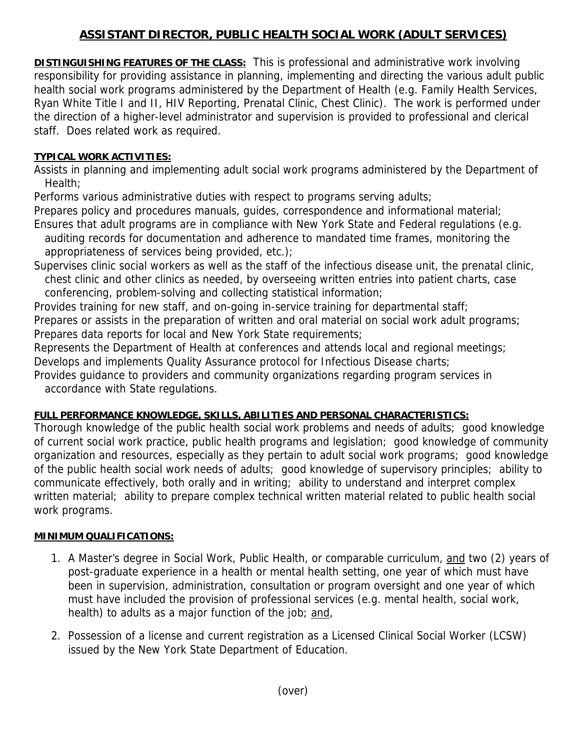## **ASSISTANT DIRECTOR, PUBLIC HEALTH SOCIAL WORK (ADULT SERVICES)**

**DISTINGUISHING FEATURES OF THE CLASS:** This is professional and administrative work involving responsibility for providing assistance in planning, implementing and directing the various adult public health social work programs administered by the Department of Health (e.g. Family Health Services, Ryan White Title I and II, HIV Reporting, Prenatal Clinic, Chest Clinic). The work is performed under the direction of a higher-level administrator and supervision is provided to professional and clerical staff. Does related work as required.

## **TYPICAL WORK ACTIVITIES:**

Assists in planning and implementing adult social work programs administered by the Department of Health;

Performs various administrative duties with respect to programs serving adults;

Prepares policy and procedures manuals, guides, correspondence and informational material;

- Ensures that adult programs are in compliance with New York State and Federal regulations (e.g. auditing records for documentation and adherence to mandated time frames, monitoring the appropriateness of services being provided, etc.);
- Supervises clinic social workers as well as the staff of the infectious disease unit, the prenatal clinic, chest clinic and other clinics as needed, by overseeing written entries into patient charts, case conferencing, problem-solving and collecting statistical information;

Provides training for new staff, and on-going in-service training for departmental staff;

Prepares or assists in the preparation of written and oral material on social work adult programs; Prepares data reports for local and New York State requirements;

Represents the Department of Health at conferences and attends local and regional meetings; Develops and implements Quality Assurance protocol for Infectious Disease charts;

Provides guidance to providers and community organizations regarding program services in accordance with State regulations.

## **FULL PERFORMANCE KNOWLEDGE, SKILLS, ABILITIES AND PERSONAL CHARACTERISTICS:**

Thorough knowledge of the public health social work problems and needs of adults; good knowledge of current social work practice, public health programs and legislation; good knowledge of community organization and resources, especially as they pertain to adult social work programs; good knowledge of the public health social work needs of adults; good knowledge of supervisory principles; ability to communicate effectively, both orally and in writing; ability to understand and interpret complex written material; ability to prepare complex technical written material related to public health social work programs.

## **MINIMUM QUALIFICATIONS:**

- 1. A Master's degree in Social Work, Public Health, or comparable curriculum, and two (2) years of post-graduate experience in a health or mental health setting, one year of which must have been in supervision, administration, consultation or program oversight and one year of which must have included the provision of professional services (e.g. mental health, social work, health) to adults as a major function of the job; and,
- 2. Possession of a license and current registration as a Licensed Clinical Social Worker (LCSW) issued by the New York State Department of Education.